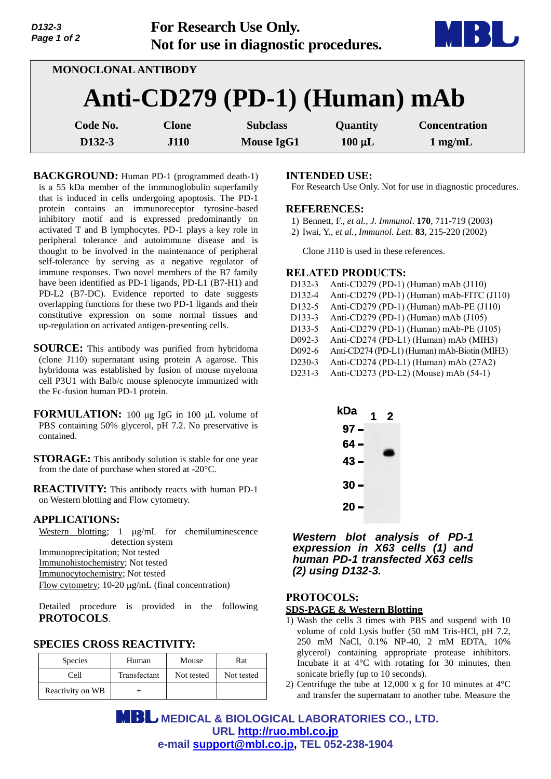| D132-3<br>Page 1 of 2 |                     | For Research Use Only.<br>Not for use in diagnostic procedures. |             |                      |
|-----------------------|---------------------|-----------------------------------------------------------------|-------------|----------------------|
|                       | MONOCLONAL ANTIBODY |                                                                 |             |                      |
|                       |                     | Anti-CD279 (PD-1) (Human) mAb                                   |             |                      |
| Code No.              | <b>Clone</b>        | <b>Subclass</b>                                                 | Quantity    | <b>Concentration</b> |
| D <sub>132</sub> -3   | <b>J110</b>         | <b>Mouse IgG1</b>                                               | $100 \mu L$ | $1$ mg/mL            |

**BACKGROUND:** Human PD-1 (programmed death-1) is a 55 kDa member of the immunoglobulin superfamily that is induced in cells undergoing apoptosis. The PD-1 protein contains an immunoreceptor tyrosine-based inhibitory motif and is expressed predominantly on activated T and B lymphocytes. PD-1 plays a key role in peripheral tolerance and autoimmune disease and is thought to be involved in the maintenance of peripheral self-tolerance by serving as a negative regulator of immune responses. Two novel members of the B7 family have been identified as PD-1 ligands, PD-L1 (B7-H1) and PD-L2 (B7-DC). Evidence reported to date suggests overlapping functions for these two PD-1 ligands and their constitutive expression on some normal tissues and up-regulation on activated antigen-presenting cells.

- **SOURCE:** This antibody was purified from hybridoma (clone J110) supernatant using protein A agarose. This hybridoma was established by fusion of mouse myeloma cell P3U1 with Balb/c mouse splenocyte immunized with the Fc-fusion human PD-1 protein.
- **FORMULATION:** 100 µg IgG in 100 µL volume of PBS containing 50% glycerol, pH 7.2. No preservative is contained.
- **STORAGE:** This antibody solution is stable for one year from the date of purchase when stored at -20°C.
- **REACTIVITY:** This antibody reacts with human PD-1 on Western blotting and Flow cytometry.

### **APPLICATIONS:**

Western blotting;  $1 \mu g/mL$  for chemiluminescence detection system Immunoprecipitation; Not tested Immunohistochemistry; Not tested Immunocytochemistry; Not tested Flow cytometry;  $10-20 \mu g/mL$  (final concentration)

Detailed procedure is provided in the following **PROTOCOLS**.

# **SPECIES CROSS REACTIVITY:**

| <b>Species</b>   | Human        | Mouse      | Rat        |
|------------------|--------------|------------|------------|
| Cell             | Transfectant | Not tested | Not tested |
| Reactivity on WB |              |            |            |

#### **INTENDED USE:**

For Research Use Only. Not for use in diagnostic procedures.

#### **REFERENCES:**

- 1) Bennett, F., *et al., J. Immunol*. **170**, 711-719 (2003)
- 2) Iwai, Y., *et al., Immunol. Lett*. **83**, 215-220 (2002)

Clone J110 is used in these references.

## **RELATED PRODUCTS:**

| D132-3              | Anti-CD279 (PD-1) (Human) mAb (J110)         |
|---------------------|----------------------------------------------|
| D132-4              | Anti-CD279 (PD-1) (Human) mAb-FITC (J110)    |
| D132-5              | Anti-CD279 (PD-1) (Human) mAb-PE (J110)      |
| D133-3              | Anti-CD279 (PD-1) (Human) mAb (J105)         |
| D133-5              | Anti-CD279 (PD-1) (Human) mAb-PE (J105)      |
| D092-3              | Anti-CD274 (PD-L1) (Human) mAb (MIH3)        |
| D092-6              | Anti-CD274 (PD-L1) (Human) mAb-Biotin (MIH3) |
| D <sub>230</sub> -3 | Anti-CD274 (PD-L1) (Human) mAb (27A2)        |
| D <sub>231</sub> -3 | Anti-CD273 (PD-L2) (Mouse) mAb (54-1)        |
|                     |                                              |



*Western blot analysis of PD-1 expression in X63 cells (1) and human PD-1 transfected X63 cells (2) using D132-3.* 

## **PROTOCOLS: SDS-PAGE & Western Blotting**

- 1) Wash the cells 3 times with PBS and suspend with 10 volume of cold Lysis buffer (50 mM Tris-HCl, pH 7.2, 250 mM NaCl, 0.1% NP-40, 2 mM EDTA, 10% glycerol) containing appropriate protease inhibitors. Incubate it at 4°C with rotating for 30 minutes, then sonicate briefly (up to 10 seconds).
- 2) Centrifuge the tube at 12,000 x g for 10 minutes at  $4^{\circ}$ C and transfer the supernatant to another tube. Measure the

 **MEDICAL & BIOLOGICAL LABORATORIES CO., LTD. URL [http://ruo.mbl.co.jp](http://ruo.mbl.co.jp/) e-mail [support@mbl.co.jp,](mailto:support@mbl.co.jp) TEL 052-238-1904**